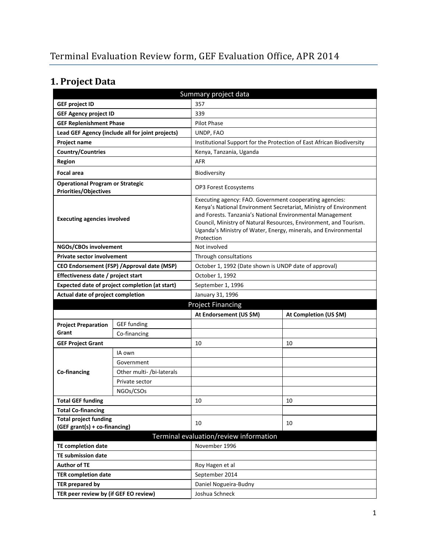# **1. Project Data**

| Summary project data                                                    |                                                |                                                                                                                                                                                                                                                                                                                                                 |                                                                       |  |  |
|-------------------------------------------------------------------------|------------------------------------------------|-------------------------------------------------------------------------------------------------------------------------------------------------------------------------------------------------------------------------------------------------------------------------------------------------------------------------------------------------|-----------------------------------------------------------------------|--|--|
| <b>GEF project ID</b>                                                   |                                                | 357                                                                                                                                                                                                                                                                                                                                             |                                                                       |  |  |
| <b>GEF Agency project ID</b>                                            |                                                | 339                                                                                                                                                                                                                                                                                                                                             |                                                                       |  |  |
| <b>GEF Replenishment Phase</b>                                          |                                                | Pilot Phase                                                                                                                                                                                                                                                                                                                                     |                                                                       |  |  |
| Lead GEF Agency (include all for joint projects)                        |                                                | UNDP, FAO                                                                                                                                                                                                                                                                                                                                       |                                                                       |  |  |
| <b>Project name</b>                                                     |                                                |                                                                                                                                                                                                                                                                                                                                                 | Institutional Support for the Protection of East African Biodiversity |  |  |
| <b>Country/Countries</b>                                                |                                                | Kenya, Tanzania, Uganda                                                                                                                                                                                                                                                                                                                         |                                                                       |  |  |
| <b>Region</b>                                                           |                                                | <b>AFR</b>                                                                                                                                                                                                                                                                                                                                      |                                                                       |  |  |
| <b>Focal area</b>                                                       |                                                | Biodiversity                                                                                                                                                                                                                                                                                                                                    |                                                                       |  |  |
| <b>Operational Program or Strategic</b><br><b>Priorities/Objectives</b> |                                                | <b>OP3 Forest Ecosystems</b>                                                                                                                                                                                                                                                                                                                    |                                                                       |  |  |
| <b>Executing agencies involved</b>                                      |                                                | Executing agency: FAO. Government cooperating agencies:<br>Kenya's National Environment Secretariat, Ministry of Environment<br>and Forests. Tanzania's National Environmental Management<br>Council, Ministry of Natural Resources, Environment, and Tourism.<br>Uganda's Ministry of Water, Energy, minerals, and Environmental<br>Protection |                                                                       |  |  |
| NGOs/CBOs involvement                                                   |                                                | Not involved                                                                                                                                                                                                                                                                                                                                    |                                                                       |  |  |
| <b>Private sector involvement</b>                                       |                                                | Through consultations                                                                                                                                                                                                                                                                                                                           |                                                                       |  |  |
|                                                                         | CEO Endorsement (FSP) / Approval date (MSP)    | October 1, 1992 (Date shown is UNDP date of approval)                                                                                                                                                                                                                                                                                           |                                                                       |  |  |
| Effectiveness date / project start                                      |                                                | October 1, 1992                                                                                                                                                                                                                                                                                                                                 |                                                                       |  |  |
|                                                                         | Expected date of project completion (at start) | September 1, 1996                                                                                                                                                                                                                                                                                                                               |                                                                       |  |  |
| Actual date of project completion                                       |                                                | January 31, 1996                                                                                                                                                                                                                                                                                                                                |                                                                       |  |  |
|                                                                         |                                                |                                                                                                                                                                                                                                                                                                                                                 |                                                                       |  |  |
|                                                                         |                                                | <b>Project Financing</b>                                                                                                                                                                                                                                                                                                                        |                                                                       |  |  |
|                                                                         |                                                | At Endorsement (US \$M)                                                                                                                                                                                                                                                                                                                         | At Completion (US \$M)                                                |  |  |
| <b>Project Preparation</b>                                              | <b>GEF funding</b>                             |                                                                                                                                                                                                                                                                                                                                                 |                                                                       |  |  |
| Grant                                                                   | Co-financing                                   |                                                                                                                                                                                                                                                                                                                                                 |                                                                       |  |  |
| <b>GEF Project Grant</b>                                                |                                                | 10                                                                                                                                                                                                                                                                                                                                              | 10                                                                    |  |  |
|                                                                         | IA own                                         |                                                                                                                                                                                                                                                                                                                                                 |                                                                       |  |  |
|                                                                         | Government                                     |                                                                                                                                                                                                                                                                                                                                                 |                                                                       |  |  |
| Co-financing                                                            | Other multi- /bi-laterals                      |                                                                                                                                                                                                                                                                                                                                                 |                                                                       |  |  |
|                                                                         | Private sector                                 |                                                                                                                                                                                                                                                                                                                                                 |                                                                       |  |  |
|                                                                         | NGOs/CSOs                                      |                                                                                                                                                                                                                                                                                                                                                 |                                                                       |  |  |
| <b>Total GEF funding</b>                                                |                                                | 10                                                                                                                                                                                                                                                                                                                                              | 10                                                                    |  |  |
| <b>Total Co-financing</b>                                               |                                                |                                                                                                                                                                                                                                                                                                                                                 |                                                                       |  |  |
| <b>Total project funding</b><br>(GEF grant(s) + co-financing)           |                                                | 10                                                                                                                                                                                                                                                                                                                                              | 10                                                                    |  |  |
|                                                                         |                                                | Terminal evaluation/review information                                                                                                                                                                                                                                                                                                          |                                                                       |  |  |
| TE completion date                                                      |                                                | November 1996                                                                                                                                                                                                                                                                                                                                   |                                                                       |  |  |
| <b>TE submission date</b>                                               |                                                |                                                                                                                                                                                                                                                                                                                                                 |                                                                       |  |  |
| <b>Author of TE</b>                                                     |                                                | Roy Hagen et al                                                                                                                                                                                                                                                                                                                                 |                                                                       |  |  |
| <b>TER completion date</b>                                              |                                                | September 2014                                                                                                                                                                                                                                                                                                                                  |                                                                       |  |  |
| <b>TER prepared by</b>                                                  |                                                | Daniel Nogueira-Budny                                                                                                                                                                                                                                                                                                                           |                                                                       |  |  |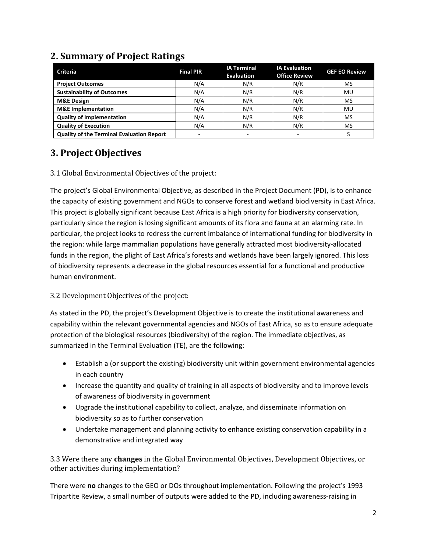| <b>Criteria</b>                                  | <b>Final PIR</b>         | <b>IA Terminal</b><br><b>Evaluation</b> | <b>IA Evaluation</b><br><b>Office Review</b> | <b>GEF EO Review</b> |
|--------------------------------------------------|--------------------------|-----------------------------------------|----------------------------------------------|----------------------|
| <b>Project Outcomes</b>                          | N/A                      | N/R                                     | N/R                                          | MS                   |
| <b>Sustainability of Outcomes</b>                | N/A                      | N/R                                     | N/R                                          | MU                   |
| <b>M&amp;E Design</b>                            | N/A                      | N/R                                     | N/R                                          | MS                   |
| <b>M&amp;E</b> Implementation                    | N/A                      | N/R                                     | N/R                                          | MU                   |
| <b>Quality of Implementation</b>                 | N/A                      | N/R                                     | N/R                                          | MS                   |
| <b>Quality of Execution</b>                      | N/A                      | N/R                                     | N/R                                          | MS                   |
| <b>Quality of the Terminal Evaluation Report</b> | $\overline{\phantom{a}}$ |                                         |                                              |                      |

### **2. Summary of Project Ratings**

### **3. Project Objectives**

#### 3.1 Global Environmental Objectives of the project:

The project's Global Environmental Objective, as described in the Project Document (PD), is to enhance the capacity of existing government and NGOs to conserve forest and wetland biodiversity in East Africa. This project is globally significant because East Africa is a high priority for biodiversity conservation, particularly since the region is losing significant amounts of its flora and fauna at an alarming rate. In particular, the project looks to redress the current imbalance of international funding for biodiversity in the region: while large mammalian populations have generally attracted most biodiversity-allocated funds in the region, the plight of East Africa's forests and wetlands have been largely ignored. This loss of biodiversity represents a decrease in the global resources essential for a functional and productive human environment.

#### 3.2 Development Objectives of the project:

As stated in the PD, the project's Development Objective is to create the institutional awareness and capability within the relevant governmental agencies and NGOs of East Africa, so as to ensure adequate protection of the biological resources (biodiversity) of the region. The immediate objectives, as summarized in the Terminal Evaluation (TE), are the following:

- Establish a (or support the existing) biodiversity unit within government environmental agencies in each country
- Increase the quantity and quality of training in all aspects of biodiversity and to improve levels of awareness of biodiversity in government
- Upgrade the institutional capability to collect, analyze, and disseminate information on biodiversity so as to further conservation
- Undertake management and planning activity to enhance existing conservation capability in a demonstrative and integrated way

3.3 Were there any **changes** in the Global Environmental Objectives, Development Objectives, or other activities during implementation?

There were **no** changes to the GEO or DOs throughout implementation. Following the project's 1993 Tripartite Review, a small number of outputs were added to the PD, including awareness-raising in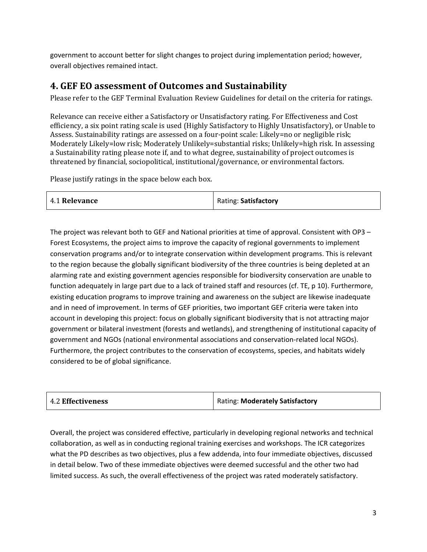government to account better for slight changes to project during implementation period; however, overall objectives remained intact.

### **4. GEF EO assessment of Outcomes and Sustainability**

Please refer to the GEF Terminal Evaluation Review Guidelines for detail on the criteria for ratings.

Relevance can receive either a Satisfactory or Unsatisfactory rating. For Effectiveness and Cost efficiency, a six point rating scale is used (Highly Satisfactory to Highly Unsatisfactory), or Unable to Assess. Sustainability ratings are assessed on a four-point scale: Likely=no or negligible risk; Moderately Likely=low risk; Moderately Unlikely=substantial risks; Unlikely=high risk. In assessing a Sustainability rating please note if, and to what degree, sustainability of project outcomes is threatened by financial, sociopolitical, institutional/governance, or environmental factors.

Please justify ratings in the space below each box.

| <b>4.1 Relevance</b> | Rating: Satisfactory |
|----------------------|----------------------|
|----------------------|----------------------|

The project was relevant both to GEF and National priorities at time of approval. Consistent with OP3 – Forest Ecosystems, the project aims to improve the capacity of regional governments to implement conservation programs and/or to integrate conservation within development programs. This is relevant to the region because the globally significant biodiversity of the three countries is being depleted at an alarming rate and existing government agencies responsible for biodiversity conservation are unable to function adequately in large part due to a lack of trained staff and resources (cf. TE, p 10). Furthermore, existing education programs to improve training and awareness on the subject are likewise inadequate and in need of improvement. In terms of GEF priorities, two important GEF criteria were taken into account in developing this project: focus on globally significant biodiversity that is not attracting major government or bilateral investment (forests and wetlands), and strengthening of institutional capacity of government and NGOs (national environmental associations and conservation-related local NGOs). Furthermore, the project contributes to the conservation of ecosystems, species, and habitats widely considered to be of global significance.

| <b>4.2 Effectiveness</b> | Rating: Moderately Satisfactory |
|--------------------------|---------------------------------|
|--------------------------|---------------------------------|

Overall, the project was considered effective, particularly in developing regional networks and technical collaboration, as well as in conducting regional training exercises and workshops. The ICR categorizes what the PD describes as two objectives, plus a few addenda, into four immediate objectives, discussed in detail below. Two of these immediate objectives were deemed successful and the other two had limited success. As such, the overall effectiveness of the project was rated moderately satisfactory.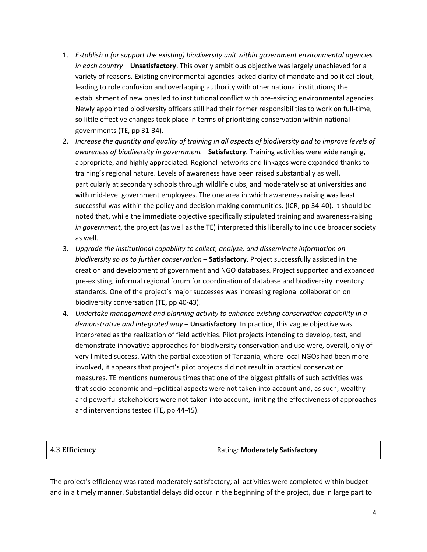- 1. *Establish a (or support the existing) biodiversity unit within government environmental agencies in each country* – **Unsatisfactory**. This overly ambitious objective was largely unachieved for a variety of reasons. Existing environmental agencies lacked clarity of mandate and political clout, leading to role confusion and overlapping authority with other national institutions; the establishment of new ones led to institutional conflict with pre-existing environmental agencies. Newly appointed biodiversity officers still had their former responsibilities to work on full-time, so little effective changes took place in terms of prioritizing conservation within national governments (TE, pp 31-34).
- 2. *Increase the quantity and quality of training in all aspects of biodiversity and to improve levels of awareness of biodiversity in government* – **Satisfactory**. Training activities were wide ranging, appropriate, and highly appreciated. Regional networks and linkages were expanded thanks to training's regional nature. Levels of awareness have been raised substantially as well, particularly at secondary schools through wildlife clubs, and moderately so at universities and with mid-level government employees. The one area in which awareness raising was least successful was within the policy and decision making communities. (ICR, pp 34-40). It should be noted that, while the immediate objective specifically stipulated training and awareness-raising *in government*, the project (as well as the TE) interpreted this liberally to include broader society as well.
- 3. *Upgrade the institutional capability to collect, analyze, and disseminate information on biodiversity so as to further conservation* – **Satisfactory**. Project successfully assisted in the creation and development of government and NGO databases. Project supported and expanded pre-existing, informal regional forum for coordination of database and biodiversity inventory standards. One of the project's major successes was increasing regional collaboration on biodiversity conversation (TE, pp 40-43).
- 4. *Undertake management and planning activity to enhance existing conservation capability in a demonstrative and integrated way* – **Unsatisfactory**. In practice, this vague objective was interpreted as the realization of field activities. Pilot projects intending to develop, test, and demonstrate innovative approaches for biodiversity conservation and use were, overall, only of very limited success. With the partial exception of Tanzania, where local NGOs had been more involved, it appears that project's pilot projects did not result in practical conservation measures. TE mentions numerous times that one of the biggest pitfalls of such activities was that socio-economic and –political aspects were not taken into account and, as such, wealthy and powerful stakeholders were not taken into account, limiting the effectiveness of approaches and interventions tested (TE, pp 44-45).

| $\vert$ 4.3 Efficiency | Rating: Moderately Satisfactory |
|------------------------|---------------------------------|
|------------------------|---------------------------------|

The project's efficiency was rated moderately satisfactory; all activities were completed within budget and in a timely manner. Substantial delays did occur in the beginning of the project, due in large part to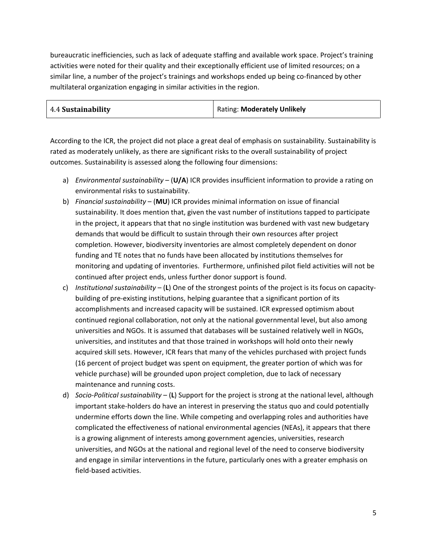bureaucratic inefficiencies, such as lack of adequate staffing and available work space. Project's training activities were noted for their quality and their exceptionally efficient use of limited resources; on a similar line, a number of the project's trainings and workshops ended up being co-financed by other multilateral organization engaging in similar activities in the region.

| 4.4 Sustainability | <b>Rating: Moderately Unlikely</b> |
|--------------------|------------------------------------|
|                    |                                    |

According to the ICR, the project did not place a great deal of emphasis on sustainability. Sustainability is rated as moderately unlikely, as there are significant risks to the overall sustainability of project outcomes. Sustainability is assessed along the following four dimensions:

- a) *Environmental sustainability* (**U/A**) ICR provides insufficient information to provide a rating on environmental risks to sustainability.
- b) *Financial sustainability* (**MU**) ICR provides minimal information on issue of financial sustainability. It does mention that, given the vast number of institutions tapped to participate in the project, it appears that that no single institution was burdened with vast new budgetary demands that would be difficult to sustain through their own resources after project completion. However, biodiversity inventories are almost completely dependent on donor funding and TE notes that no funds have been allocated by institutions themselves for monitoring and updating of inventories. Furthermore, unfinished pilot field activities will not be continued after project ends, unless further donor support is found.
- c) *Institutional sustainability* (**L**) One of the strongest points of the project is its focus on capacitybuilding of pre-existing institutions, helping guarantee that a significant portion of its accomplishments and increased capacity will be sustained. ICR expressed optimism about continued regional collaboration, not only at the national governmental level, but also among universities and NGOs. It is assumed that databases will be sustained relatively well in NGOs, universities, and institutes and that those trained in workshops will hold onto their newly acquired skill sets. However, ICR fears that many of the vehicles purchased with project funds (16 percent of project budget was spent on equipment, the greater portion of which was for vehicle purchase) will be grounded upon project completion, due to lack of necessary maintenance and running costs.
- d) *Socio-Political sustainability* (**L**) Support for the project is strong at the national level, although important stake-holders do have an interest in preserving the status quo and could potentially undermine efforts down the line. While competing and overlapping roles and authorities have complicated the effectiveness of national environmental agencies (NEAs), it appears that there is a growing alignment of interests among government agencies, universities, research universities, and NGOs at the national and regional level of the need to conserve biodiversity and engage in similar interventions in the future, particularly ones with a greater emphasis on field-based activities.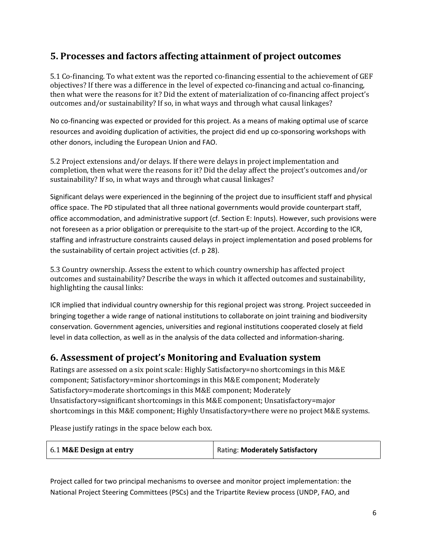### **5. Processes and factors affecting attainment of project outcomes**

5.1 Co-financing. To what extent was the reported co-financing essential to the achievement of GEF objectives? If there was a difference in the level of expected co-financing and actual co-financing, then what were the reasons for it? Did the extent of materialization of co-financing affect project's outcomes and/or sustainability? If so, in what ways and through what causal linkages?

No co-financing was expected or provided for this project. As a means of making optimal use of scarce resources and avoiding duplication of activities, the project did end up co-sponsoring workshops with other donors, including the European Union and FAO.

5.2 Project extensions and/or delays. If there were delays in project implementation and completion, then what were the reasons for it? Did the delay affect the project's outcomes and/or sustainability? If so, in what ways and through what causal linkages?

Significant delays were experienced in the beginning of the project due to insufficient staff and physical office space. The PD stipulated that all three national governments would provide counterpart staff, office accommodation, and administrative support (cf. Section E: Inputs). However, such provisions were not foreseen as a prior obligation or prerequisite to the start-up of the project. According to the ICR, staffing and infrastructure constraints caused delays in project implementation and posed problems for the sustainability of certain project activities (cf. p 28).

5.3 Country ownership. Assess the extent to which country ownership has affected project outcomes and sustainability? Describe the ways in which it affected outcomes and sustainability, highlighting the causal links:

ICR implied that individual country ownership for this regional project was strong. Project succeeded in bringing together a wide range of national institutions to collaborate on joint training and biodiversity conservation. Government agencies, universities and regional institutions cooperated closely at field level in data collection, as well as in the analysis of the data collected and information-sharing.

### **6. Assessment of project's Monitoring and Evaluation system**

Ratings are assessed on a six point scale: Highly Satisfactory=no shortcomings in this M&E component; Satisfactory=minor shortcomings in this M&E component; Moderately Satisfactory=moderate shortcomings in this M&E component; Moderately Unsatisfactory=significant shortcomings in this M&E component; Unsatisfactory=major shortcomings in this M&E component; Highly Unsatisfactory=there were no project M&E systems.

Please justify ratings in the space below each box.

| 6.1 M&E Design at entry | Rating: Moderately Satisfactory |
|-------------------------|---------------------------------|
|-------------------------|---------------------------------|

Project called for two principal mechanisms to oversee and monitor project implementation: the National Project Steering Committees (PSCs) and the Tripartite Review process (UNDP, FAO, and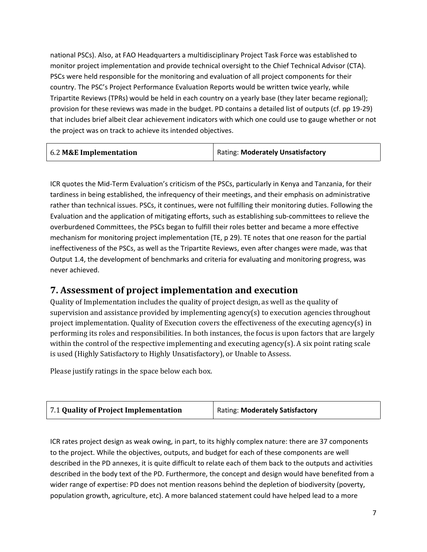national PSCs). Also, at FAO Headquarters a multidisciplinary Project Task Force was established to monitor project implementation and provide technical oversight to the Chief Technical Advisor (CTA). PSCs were held responsible for the monitoring and evaluation of all project components for their country. The PSC's Project Performance Evaluation Reports would be written twice yearly, while Tripartite Reviews (TPRs) would be held in each country on a yearly base (they later became regional); provision for these reviews was made in the budget. PD contains a detailed list of outputs (cf. pp 19-29) that includes brief albeit clear achievement indicators with which one could use to gauge whether or not the project was on track to achieve its intended objectives.

| 6.2 M&E Implementation | Rating: Moderately Unsatisfactory |
|------------------------|-----------------------------------|
|------------------------|-----------------------------------|

ICR quotes the Mid-Term Evaluation's criticism of the PSCs, particularly in Kenya and Tanzania, for their tardiness in being established, the infrequency of their meetings, and their emphasis on administrative rather than technical issues. PSCs, it continues, were not fulfilling their monitoring duties. Following the Evaluation and the application of mitigating efforts, such as establishing sub-committees to relieve the overburdened Committees, the PSCs began to fulfill their roles better and became a more effective mechanism for monitoring project implementation (TE, p 29). TE notes that one reason for the partial ineffectiveness of the PSCs, as well as the Tripartite Reviews, even after changes were made, was that Output 1.4, the development of benchmarks and criteria for evaluating and monitoring progress, was never achieved.

### **7. Assessment of project implementation and execution**

Quality of Implementation includes the quality of project design, as well as the quality of supervision and assistance provided by implementing agency(s) to execution agencies throughout project implementation. Quality of Execution covers the effectiveness of the executing agency(s) in performing its roles and responsibilities. In both instances, the focus is upon factors that are largely within the control of the respective implementing and executing agency(s). A six point rating scale is used (Highly Satisfactory to Highly Unsatisfactory), or Unable to Assess.

Please justify ratings in the space below each box.

| 7.1 Quality of Project Implementation | Rating: Moderately Satisfactory |
|---------------------------------------|---------------------------------|
|---------------------------------------|---------------------------------|

ICR rates project design as weak owing, in part, to its highly complex nature: there are 37 components to the project. While the objectives, outputs, and budget for each of these components are well described in the PD annexes, it is quite difficult to relate each of them back to the outputs and activities described in the body text of the PD. Furthermore, the concept and design would have benefited from a wider range of expertise: PD does not mention reasons behind the depletion of biodiversity (poverty, population growth, agriculture, etc). A more balanced statement could have helped lead to a more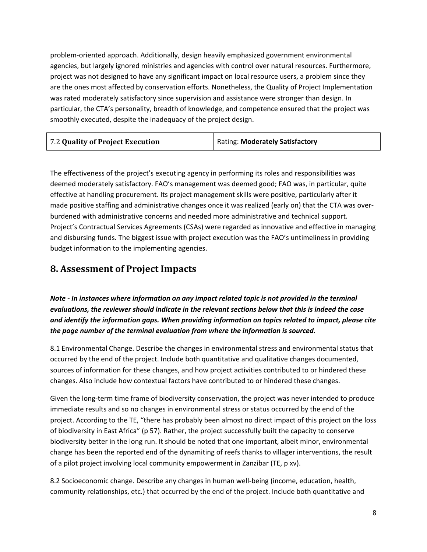problem-oriented approach. Additionally, design heavily emphasized government environmental agencies, but largely ignored ministries and agencies with control over natural resources. Furthermore, project was not designed to have any significant impact on local resource users, a problem since they are the ones most affected by conservation efforts. Nonetheless, the Quality of Project Implementation was rated moderately satisfactory since supervision and assistance were stronger than design. In particular, the CTA's personality, breadth of knowledge, and competence ensured that the project was smoothly executed, despite the inadequacy of the project design.

| 7.2 Quality of Project Execution | Rating: Moderately Satisfactory |
|----------------------------------|---------------------------------|
|----------------------------------|---------------------------------|

The effectiveness of the project's executing agency in performing its roles and responsibilities was deemed moderately satisfactory. FAO's management was deemed good; FAO was, in particular, quite effective at handling procurement. Its project management skills were positive, particularly after it made positive staffing and administrative changes once it was realized (early on) that the CTA was overburdened with administrative concerns and needed more administrative and technical support. Project's Contractual Services Agreements (CSAs) were regarded as innovative and effective in managing and disbursing funds. The biggest issue with project execution was the FAO's untimeliness in providing budget information to the implementing agencies.

### **8. Assessment of Project Impacts**

*Note - In instances where information on any impact related topic is not provided in the terminal evaluations, the reviewer should indicate in the relevant sections below that this is indeed the case and identify the information gaps. When providing information on topics related to impact, please cite the page number of the terminal evaluation from where the information is sourced.* 

8.1 Environmental Change. Describe the changes in environmental stress and environmental status that occurred by the end of the project. Include both quantitative and qualitative changes documented, sources of information for these changes, and how project activities contributed to or hindered these changes. Also include how contextual factors have contributed to or hindered these changes.

Given the long-term time frame of biodiversity conservation, the project was never intended to produce immediate results and so no changes in environmental stress or status occurred by the end of the project. According to the TE, "there has probably been almost no direct impact of this project on the loss of biodiversity in East Africa" (p 57). Rather, the project successfully built the capacity to conserve biodiversity better in the long run. It should be noted that one important, albeit minor, environmental change has been the reported end of the dynamiting of reefs thanks to villager interventions, the result of a pilot project involving local community empowerment in Zanzibar (TE, p xv).

8.2 Socioeconomic change. Describe any changes in human well-being (income, education, health, community relationships, etc.) that occurred by the end of the project. Include both quantitative and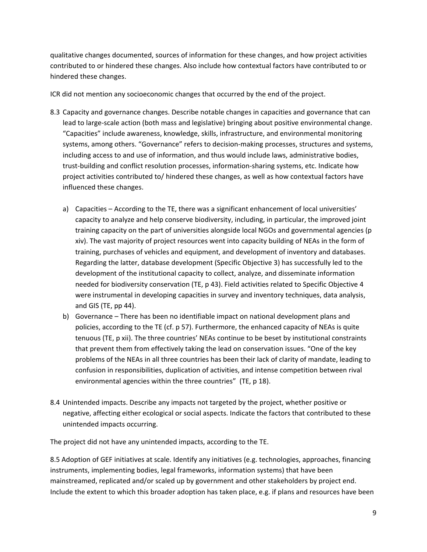qualitative changes documented, sources of information for these changes, and how project activities contributed to or hindered these changes. Also include how contextual factors have contributed to or hindered these changes.

ICR did not mention any socioeconomic changes that occurred by the end of the project.

- 8.3 Capacity and governance changes. Describe notable changes in capacities and governance that can lead to large-scale action (both mass and legislative) bringing about positive environmental change. "Capacities" include awareness, knowledge, skills, infrastructure, and environmental monitoring systems, among others. "Governance" refers to decision-making processes, structures and systems, including access to and use of information, and thus would include laws, administrative bodies, trust-building and conflict resolution processes, information-sharing systems, etc. Indicate how project activities contributed to/ hindered these changes, as well as how contextual factors have influenced these changes.
	- a) Capacities According to the TE, there was a significant enhancement of local universities' capacity to analyze and help conserve biodiversity, including, in particular, the improved joint training capacity on the part of universities alongside local NGOs and governmental agencies (p xiv). The vast majority of project resources went into capacity building of NEAs in the form of training, purchases of vehicles and equipment, and development of inventory and databases. Regarding the latter, database development (Specific Objective 3) has successfully led to the development of the institutional capacity to collect, analyze, and disseminate information needed for biodiversity conservation (TE, p 43). Field activities related to Specific Objective 4 were instrumental in developing capacities in survey and inventory techniques, data analysis, and GIS (TE, pp 44).
	- b) Governance There has been no identifiable impact on national development plans and policies, according to the TE (cf. p 57). Furthermore, the enhanced capacity of NEAs is quite tenuous (TE, p xii). The three countries' NEAs continue to be beset by institutional constraints that prevent them from effectively taking the lead on conservation issues. "One of the key problems of the NEAs in all three countries has been their lack of clarity of mandate, leading to confusion in responsibilities, duplication of activities, and intense competition between rival environmental agencies within the three countries" (TE, p 18).
- 8.4 Unintended impacts. Describe any impacts not targeted by the project, whether positive or negative, affecting either ecological or social aspects. Indicate the factors that contributed to these unintended impacts occurring.

The project did not have any unintended impacts, according to the TE.

8.5 Adoption of GEF initiatives at scale. Identify any initiatives (e.g. technologies, approaches, financing instruments, implementing bodies, legal frameworks, information systems) that have been mainstreamed, replicated and/or scaled up by government and other stakeholders by project end. Include the extent to which this broader adoption has taken place, e.g. if plans and resources have been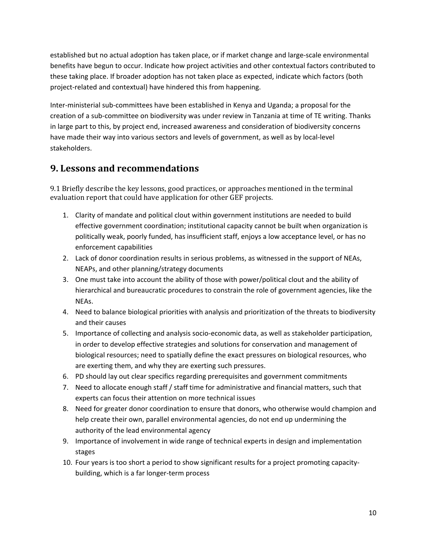established but no actual adoption has taken place, or if market change and large-scale environmental benefits have begun to occur. Indicate how project activities and other contextual factors contributed to these taking place. If broader adoption has not taken place as expected, indicate which factors (both project-related and contextual) have hindered this from happening.

Inter-ministerial sub-committees have been established in Kenya and Uganda; a proposal for the creation of a sub-committee on biodiversity was under review in Tanzania at time of TE writing. Thanks in large part to this, by project end, increased awareness and consideration of biodiversity concerns have made their way into various sectors and levels of government, as well as by local-level stakeholders.

### **9. Lessons and recommendations**

9.1 Briefly describe the key lessons, good practices, or approaches mentioned in the terminal evaluation report that could have application for other GEF projects.

- 1. Clarity of mandate and political clout within government institutions are needed to build effective government coordination; institutional capacity cannot be built when organization is politically weak, poorly funded, has insufficient staff, enjoys a low acceptance level, or has no enforcement capabilities
- 2. Lack of donor coordination results in serious problems, as witnessed in the support of NEAs, NEAPs, and other planning/strategy documents
- 3. One must take into account the ability of those with power/political clout and the ability of hierarchical and bureaucratic procedures to constrain the role of government agencies, like the NEAs.
- 4. Need to balance biological priorities with analysis and prioritization of the threats to biodiversity and their causes
- 5. Importance of collecting and analysis socio-economic data, as well as stakeholder participation, in order to develop effective strategies and solutions for conservation and management of biological resources; need to spatially define the exact pressures on biological resources, who are exerting them, and why they are exerting such pressures.
- 6. PD should lay out clear specifics regarding prerequisites and government commitments
- 7. Need to allocate enough staff / staff time for administrative and financial matters, such that experts can focus their attention on more technical issues
- 8. Need for greater donor coordination to ensure that donors, who otherwise would champion and help create their own, parallel environmental agencies, do not end up undermining the authority of the lead environmental agency
- 9. Importance of involvement in wide range of technical experts in design and implementation stages
- 10. Four years is too short a period to show significant results for a project promoting capacitybuilding, which is a far longer-term process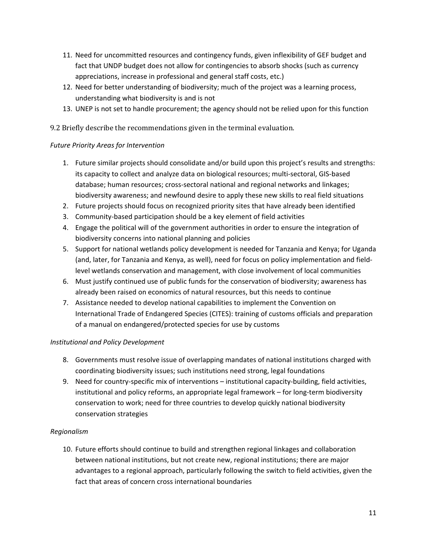- 11. Need for uncommitted resources and contingency funds, given inflexibility of GEF budget and fact that UNDP budget does not allow for contingencies to absorb shocks (such as currency appreciations, increase in professional and general staff costs, etc.)
- 12. Need for better understanding of biodiversity; much of the project was a learning process, understanding what biodiversity is and is not
- 13. UNEP is not set to handle procurement; the agency should not be relied upon for this function

9.2 Briefly describe the recommendations given in the terminal evaluation.

#### *Future Priority Areas for Intervention*

- 1. Future similar projects should consolidate and/or build upon this project's results and strengths: its capacity to collect and analyze data on biological resources; multi-sectoral, GIS-based database; human resources; cross-sectoral national and regional networks and linkages; biodiversity awareness; and newfound desire to apply these new skills to real field situations
- 2. Future projects should focus on recognized priority sites that have already been identified
- 3. Community-based participation should be a key element of field activities
- 4. Engage the political will of the government authorities in order to ensure the integration of biodiversity concerns into national planning and policies
- 5. Support for national wetlands policy development is needed for Tanzania and Kenya; for Uganda (and, later, for Tanzania and Kenya, as well), need for focus on policy implementation and fieldlevel wetlands conservation and management, with close involvement of local communities
- 6. Must justify continued use of public funds for the conservation of biodiversity; awareness has already been raised on economics of natural resources, but this needs to continue
- 7. Assistance needed to develop national capabilities to implement the Convention on International Trade of Endangered Species (CITES): training of customs officials and preparation of a manual on endangered/protected species for use by customs

#### *Institutional and Policy Development*

- 8. Governments must resolve issue of overlapping mandates of national institutions charged with coordinating biodiversity issues; such institutions need strong, legal foundations
- 9. Need for country-specific mix of interventions institutional capacity-building, field activities, institutional and policy reforms, an appropriate legal framework – for long-term biodiversity conservation to work; need for three countries to develop quickly national biodiversity conservation strategies

#### *Regionalism*

10. Future efforts should continue to build and strengthen regional linkages and collaboration between national institutions, but not create new, regional institutions; there are major advantages to a regional approach, particularly following the switch to field activities, given the fact that areas of concern cross international boundaries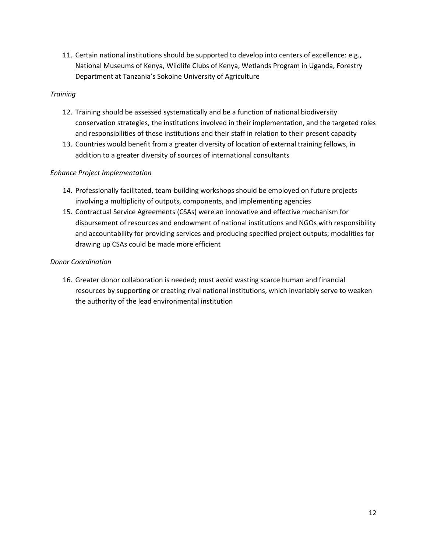11. Certain national institutions should be supported to develop into centers of excellence: e.g., National Museums of Kenya, Wildlife Clubs of Kenya, Wetlands Program in Uganda, Forestry Department at Tanzania's Sokoine University of Agriculture

#### *Training*

- 12. Training should be assessed systematically and be a function of national biodiversity conservation strategies, the institutions involved in their implementation, and the targeted roles and responsibilities of these institutions and their staff in relation to their present capacity
- 13. Countries would benefit from a greater diversity of location of external training fellows, in addition to a greater diversity of sources of international consultants

#### *Enhance Project Implementation*

- 14. Professionally facilitated, team-building workshops should be employed on future projects involving a multiplicity of outputs, components, and implementing agencies
- 15. Contractual Service Agreements (CSAs) were an innovative and effective mechanism for disbursement of resources and endowment of national institutions and NGOs with responsibility and accountability for providing services and producing specified project outputs; modalities for drawing up CSAs could be made more efficient

#### *Donor Coordination*

16. Greater donor collaboration is needed; must avoid wasting scarce human and financial resources by supporting or creating rival national institutions, which invariably serve to weaken the authority of the lead environmental institution